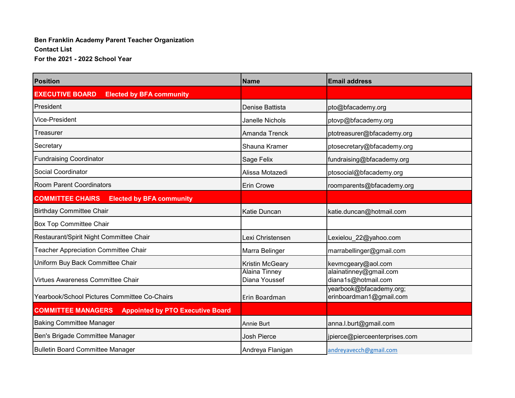## **Ben Franklin Academy Parent Teacher Organization Contact List For the 2021 - 2022 School Year**

| <b>Position</b>                                                      | <b>Name</b>                           | <b>Email address</b>                               |
|----------------------------------------------------------------------|---------------------------------------|----------------------------------------------------|
| <b>EXECUTIVE BOARD</b><br><b>Elected by BFA community</b>            |                                       |                                                    |
| President                                                            | Denise Battista                       | pto@bfacademy.org                                  |
| Vice-President                                                       | Janelle Nichols                       | ptovp@bfacademy.org                                |
| Treasurer                                                            | Amanda Trenck                         | ptotreasurer@bfacademy.org                         |
| Secretary                                                            | Shauna Kramer                         | ptosecretary@bfacademy.org                         |
| <b>Fundraising Coordinator</b>                                       | Sage Felix                            | fundraising@bfacademy.org                          |
| Social Coordinator                                                   | Alissa Motazedi                       | ptosocial@bfacademy.org                            |
| <b>Room Parent Coordinators</b>                                      | <b>Erin Crowe</b>                     | roomparents@bfacademy.org                          |
| <b>COMMITTEE CHAIRS</b><br><b>Elected by BFA community</b>           |                                       |                                                    |
| <b>Birthday Committee Chair</b>                                      | <b>Katie Duncan</b>                   | katie.duncan@hotmail.com                           |
| <b>Box Top Committee Chair</b>                                       |                                       |                                                    |
| Restaurant/Spirit Night Committee Chair                              | Lexi Christensen                      | Lexielou_22@yahoo.com                              |
| <b>Teacher Appreciation Committee Chair</b>                          | Marra Belinger                        | marrabellinger@gmail.com                           |
| Uniform Buy Back Committee Chair                                     | <b>Kristin McGeary</b>                | kevmcgeary@aol.com                                 |
| Virtues Awareness Committee Chair                                    | <b>Alaina Tinney</b><br>Diana Youssef | alainatinney@gmail.com<br>diana1s@hotmail.com      |
| Yearbook/School Pictures Committee Co-Chairs                         | Erin Boardman                         | yearbook@bfacademy.org;<br>erinboardman1@gmail.com |
| <b>COMMITTEE MANAGERS</b><br><b>Appointed by PTO Executive Board</b> |                                       |                                                    |
| <b>Baking Committee Manager</b>                                      | <b>Annie Burt</b>                     | anna.l.burt@gmail.com                              |
| Ben's Brigade Committee Manager                                      | <b>Josh Pierce</b>                    | jpierce@pierceenterprises.com                      |
| Bulletin Board Committee Manager                                     | Andreya Flanigan                      | andreyavecch@gmail.com                             |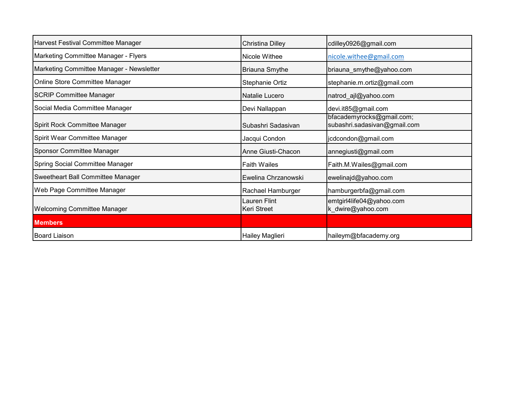| Harvest Festival Committee Manager       | Christina Dilley                          | cdilley0926@gmail.com                                     |
|------------------------------------------|-------------------------------------------|-----------------------------------------------------------|
| Marketing Committee Manager - Flyers     | Nicole Withee                             | nicole.withee@gmail.com                                   |
| Marketing Committee Manager - Newsletter | <b>Briauna Smythe</b>                     | briauna_smythe@yahoo.com                                  |
| Online Store Committee Manager           | Stephanie Ortiz                           | stephanie.m.ortiz@gmail.com                               |
| <b>SCRIP Committee Manager</b>           | Natalie Lucero                            | natrod_ajl@yahoo.com                                      |
| Social Media Committee Manager           | Devi Nallappan                            | devi.it85@gmail.com                                       |
| Spirit Rock Committee Manager            | Subashri Sadasivan                        | bfacademyrocks@gmail.com;<br>subashri.sadasivan@gmail.com |
| Spirit Wear Committee Manager            | Jacqui Condon                             | jcdcondon@gmail.com                                       |
| Sponsor Committee Manager                | Anne Giusti-Chacon                        | annegiusti@gmail.com                                      |
| Spring Social Committee Manager          | <b>Faith Wailes</b>                       | Faith.M.Wailes@gmail.com                                  |
| Sweetheart Ball Committee Manager        | Ewelina Chrzanowski                       | ewelinajd@yahoo.com                                       |
| Web Page Committee Manager               | Rachael Hamburger                         | hamburgerbfa@gmail.com                                    |
| <b>Welcoming Committee Manager</b>       | <b>Lauren Flint</b><br><b>Keri Street</b> | emtgirl4life04@yahoo.com<br>k_dwire@yahoo.com             |
| <b>Members</b>                           |                                           |                                                           |
| Board Liaison                            | Hailey Maglieri                           | haileym@bfacademy.org                                     |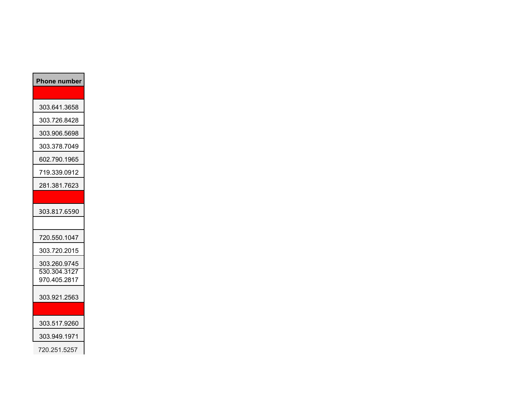| <b>Phone number</b>          |
|------------------------------|
|                              |
| 303.641.3658                 |
| 303.726.8428                 |
| 303.906.5698                 |
| 303.378.7049                 |
| 602.790.1965                 |
| 719.339.0912                 |
| 281.381.7623                 |
|                              |
| 303.817.6590                 |
|                              |
| 720.550.1047                 |
| 303.720.2015                 |
| 303.260.9745                 |
| 530.304.3127<br>970.405.2817 |
|                              |
| 303.921.2563                 |
|                              |
| 303.517.9260                 |
| 303.949.1971                 |
| 720.251.5257                 |